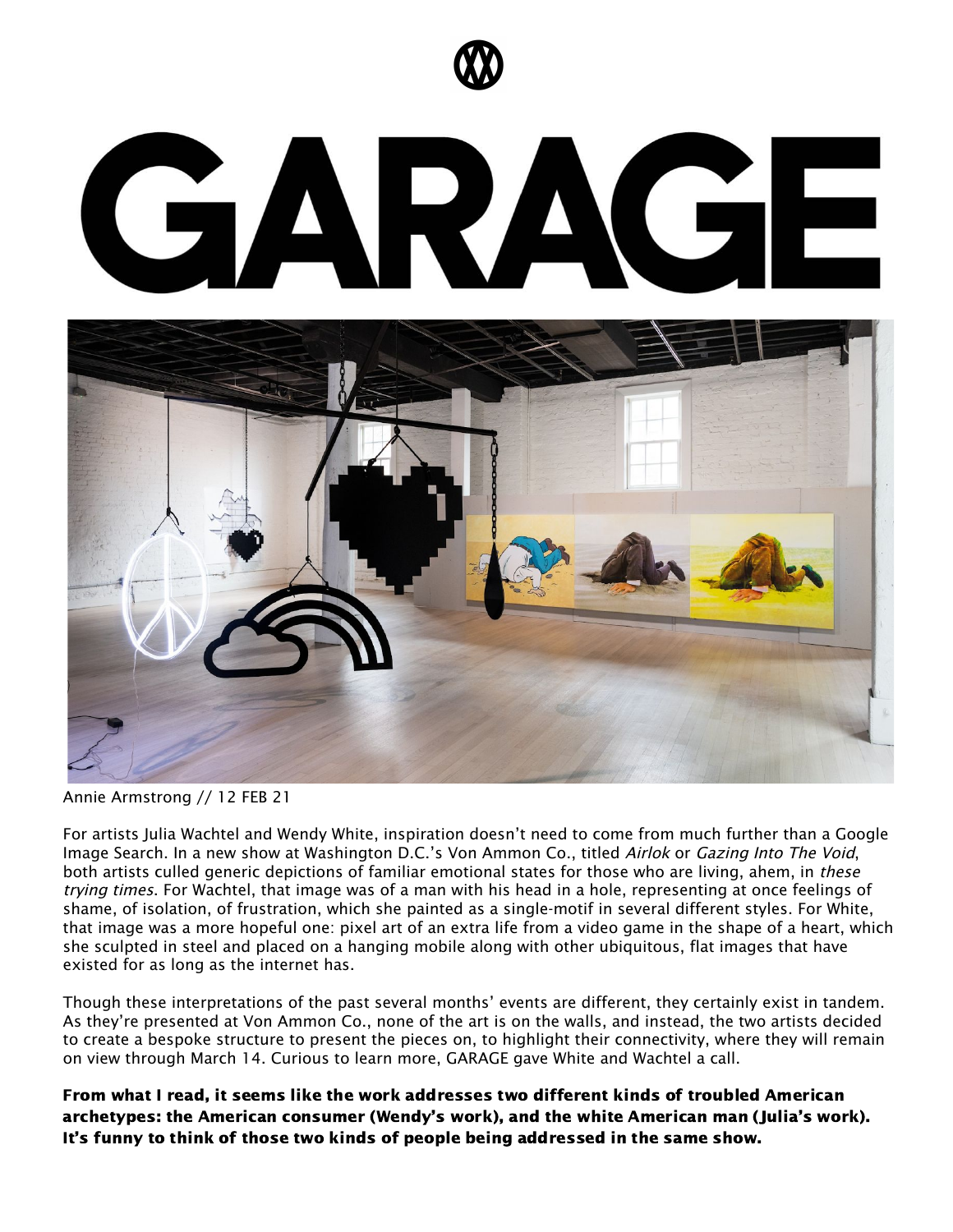

## GARAGE



Annie Armstrong // 12 FEB 21

For artists Julia [Wachtel](https://juliawachtel.com/) and [Wendy](http://www.wendywhite.net/) White, inspiration doesn't need to come from much further than a Google Image Search. In a new show at Washington D.C.'s Von [Ammon](https://www.vonammon.co/) Co., titled [Airlok](https://www.vonammon.co/wachtelandwhite) [or](https://www.vonammon.co/wachtelandwhite) [Gazing](https://www.vonammon.co/wachtelandwhite) Into The Void, both artists culled generic depictions of familiar emotional states for those who are living, ahem, in these trying times. For Wachtel, that image was of a man with his head in a hole, representing at once feelings of shame, of isolation, of frustration, which she painted as a single-motif in several different styles. For White, that image was a more hopeful one: pixel art of an extra life from a video game in the shape of a heart, which she sculpted in steel and placed on a hanging mobile along with other ubiquitous, flat images that have existed for as long as the internet has.

Though these interpretations of the past several months' events are different, they certainly exist in tandem. As they're presented at Von Ammon Co., none of the art is on the walls, and instead, the two artists decided to create a bespoke structure to present the pieces on, to highlight their connectivity, where they will remain on view through March 14. Curious to learn more, GARAGE gave White and Wachtel a call.

From what I read, it seems like the work addresses two different kinds of troubled American archetypes: the American consumer (Wendy's work), and the white American man (Julia's work). It's funny to think of those two kinds of people being addressed in the same show.